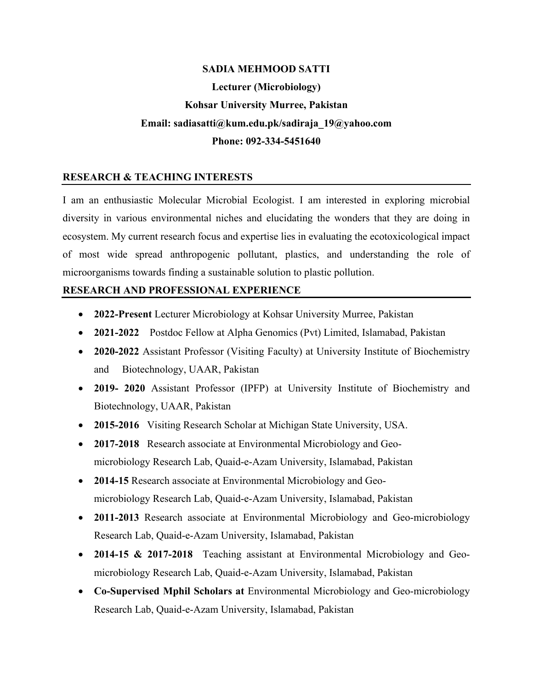# **SADIA MEHMOOD SATTI Lecturer (Microbiology) Kohsar University Murree, Pakistan Email: sadiasatti@kum.edu.pk/sadiraja\_19@yahoo.com Phone: 092-334-5451640**

### **RESEARCH & TEACHING INTERESTS**

I am an enthusiastic Molecular Microbial Ecologist. I am interested in exploring microbial diversity in various environmental niches and elucidating the wonders that they are doing in ecosystem. My current research focus and expertise lies in evaluating the ecotoxicological impact of most wide spread anthropogenic pollutant, plastics, and understanding the role of microorganisms towards finding a sustainable solution to plastic pollution.

#### **RESEARCH AND PROFESSIONAL EXPERIENCE**

- **2022-Present** Lecturer Microbiology at Kohsar University Murree, Pakistan
- **2021-2022** Postdoc Fellow at Alpha Genomics (Pvt) Limited, Islamabad, Pakistan
- **2020-2022** Assistant Professor (Visiting Faculty) at University Institute of Biochemistry and Biotechnology, UAAR, Pakistan
- **2019- 2020** Assistant Professor (IPFP) at University Institute of Biochemistry and Biotechnology, UAAR, Pakistan
- **2015-2016** Visiting Research Scholar at Michigan State University, USA.
- **2017-2018** Research associate at Environmental Microbiology and Geomicrobiology Research Lab, Quaid-e-Azam University, Islamabad, Pakistan
- **2014-15** Research associate at Environmental Microbiology and Geomicrobiology Research Lab, Quaid-e-Azam University, Islamabad, Pakistan
- **2011-2013** Research associate at Environmental Microbiology and Geo-microbiology Research Lab, Quaid-e-Azam University, Islamabad, Pakistan
- **2014-15 & 2017-2018** Teaching assistant at Environmental Microbiology and Geomicrobiology Research Lab, Quaid-e-Azam University, Islamabad, Pakistan
- **Co-Supervised Mphil Scholars at** Environmental Microbiology and Geo-microbiology Research Lab, Quaid-e-Azam University, Islamabad, Pakistan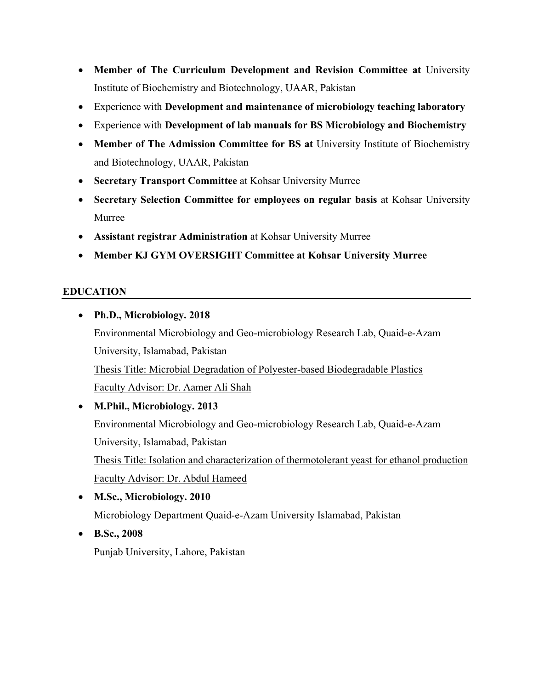- **Member of The Curriculum Development and Revision Committee at** University Institute of Biochemistry and Biotechnology, UAAR, Pakistan
- Experience with **Development and maintenance of microbiology teaching laboratory**
- Experience with **Development of lab manuals for BS Microbiology and Biochemistry**
- **Member of The Admission Committee for BS at** University Institute of Biochemistry and Biotechnology, UAAR, Pakistan
- **Secretary Transport Committee** at Kohsar University Murree
- **Secretary Selection Committee for employees on regular basis** at Kohsar University Murree
- **Assistant registrar Administration** at Kohsar University Murree
- **Member KJ GYM OVERSIGHT Committee at Kohsar University Murree**

# **EDUCATION**

- **Ph.D., Microbiology. 2018** Environmental Microbiology and Geo-microbiology Research Lab, Quaid-e-Azam University, Islamabad, Pakistan Thesis Title: Microbial Degradation of Polyester-based Biodegradable Plastics Faculty Advisor: Dr. Aamer Ali Shah
- **M.Phil., Microbiology. 2013** Environmental Microbiology and Geo-microbiology Research Lab, Quaid-e-Azam University, Islamabad, Pakistan Thesis Title: Isolation and characterization of thermotolerant yeast for ethanol production Faculty Advisor: Dr. Abdul Hameed
- **M.Sc., Microbiology. 2010** Microbiology Department Quaid-e-Azam University Islamabad, Pakistan
- **B.Sc., 2008** Punjab University, Lahore, Pakistan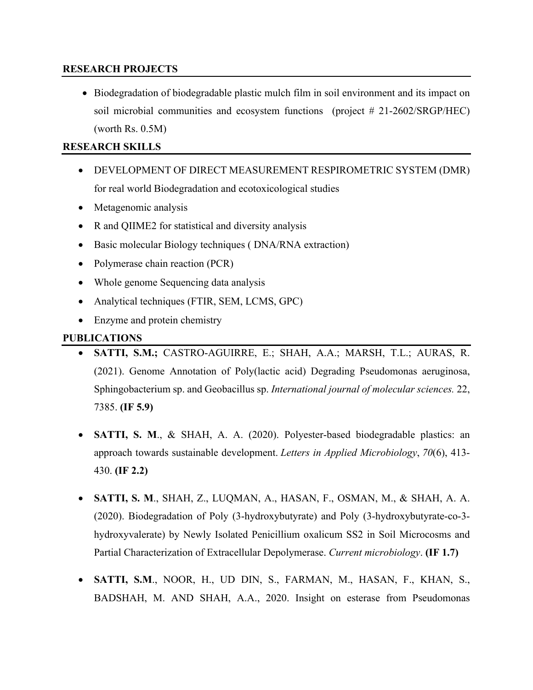#### **RESEARCH PROJECTS**

• Biodegradation of biodegradable plastic mulch film in soil environment and its impact on soil microbial communities and ecosystem functions (project # 21-2602/SRGP/HEC) (worth Rs. 0.5M)

## **RESEARCH SKILLS**

- DEVELOPMENT OF DIRECT MEASUREMENT RESPIROMETRIC SYSTEM (DMR) for real world Biodegradation and ecotoxicological studies
- Metagenomic analysis
- R and QIIME2 for statistical and diversity analysis
- Basic molecular Biology techniques (DNA/RNA extraction)
- Polymerase chain reaction (PCR)
- Whole genome Sequencing data analysis
- Analytical techniques (FTIR, SEM, LCMS, GPC)
- Enzyme and protein chemistry

## **PUBLICATIONS**

- **SATTI, S.M.;** CASTRO-AGUIRRE, E.; SHAH, A.A.; MARSH, T.L.; AURAS, R. (2021). Genome Annotation of Poly(lactic acid) Degrading Pseudomonas aeruginosa, Sphingobacterium sp. and Geobacillus sp. *International journal of molecular sciences.* 22, 7385. **(IF 5.9)**
- **SATTI, S. M., & SHAH, A. A. (2020). Polyester-based biodegradable plastics: an** approach towards sustainable development. *Letters in Applied Microbiology*, *70*(6), 413- 430. **(IF 2.2)**
- **SATTI, S. M**., SHAH, Z., LUQMAN, A., HASAN, F., OSMAN, M., & SHAH, A. A. (2020). Biodegradation of Poly (3-hydroxybutyrate) and Poly (3-hydroxybutyrate-co-3 hydroxyvalerate) by Newly Isolated Penicillium oxalicum SS2 in Soil Microcosms and Partial Characterization of Extracellular Depolymerase. *Current microbiology*. **(IF 1.7)**
- **SATTI, S.M**., NOOR, H., UD DIN, S., FARMAN, M., HASAN, F., KHAN, S., BADSHAH, M. AND SHAH, A.A., 2020. Insight on esterase from Pseudomonas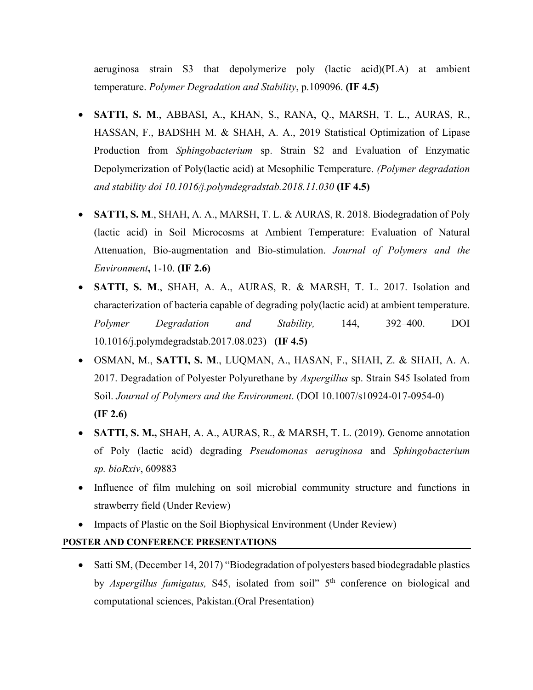aeruginosa strain S3 that depolymerize poly (lactic acid)(PLA) at ambient temperature. *Polymer Degradation and Stability*, p.109096. **(IF 4.5)**

- **SATTI, S. M**., ABBASI, A., KHAN, S., RANA, Q., MARSH, T. L., AURAS, R., HASSAN, F., BADSHH M. & SHAH, A. A., 2019 Statistical Optimization of Lipase Production from *Sphingobacterium* sp. Strain S2 and Evaluation of Enzymatic Depolymerization of Poly(lactic acid) at Mesophilic Temperature. *(Polymer degradation and stability doi 10.1016/j.polymdegradstab.2018.11.030* **(IF 4.5)**
- **SATTI, S. M**., SHAH, A. A., MARSH, T. L. & AURAS, R. 2018. Biodegradation of Poly (lactic acid) in Soil Microcosms at Ambient Temperature: Evaluation of Natural Attenuation, Bio-augmentation and Bio-stimulation. *Journal of Polymers and the Environment***,** 1-10. **(IF 2.6)**
- **SATTI, S. M**., SHAH, A. A., AURAS, R. & MARSH, T. L. 2017. Isolation and characterization of bacteria capable of degrading poly(lactic acid) at ambient temperature. *Polymer Degradation and Stability,* 144, 392–400. DOI 10.1016/j.polymdegradstab.2017.08.023) **(IF 4.5)**
- OSMAN, M., **SATTI, S. M**., LUQMAN, A., HASAN, F., SHAH, Z. & SHAH, A. A. 2017. Degradation of Polyester Polyurethane by *Aspergillus* sp. Strain S45 Isolated from Soil. *Journal of Polymers and the Environment*. (DOI 10.1007/s10924-017-0954-0) **(IF 2.6)**
- **SATTI, S. M.,** SHAH, A. A., AURAS, R., & MARSH, T. L. (2019). Genome annotation of Poly (lactic acid) degrading *Pseudomonas aeruginosa* and *Sphingobacterium sp. bioRxiv*, 609883
- Influence of film mulching on soil microbial community structure and functions in strawberry field (Under Review)
- Impacts of Plastic on the Soil Biophysical Environment (Under Review)

#### **POSTER AND CONFERENCE PRESENTATIONS**

• Satti SM, (December 14, 2017) "Biodegradation of polyesters based biodegradable plastics by *Aspergillus fumigatus*, S45, isolated from soil" 5<sup>th</sup> conference on biological and computational sciences, Pakistan.(Oral Presentation)